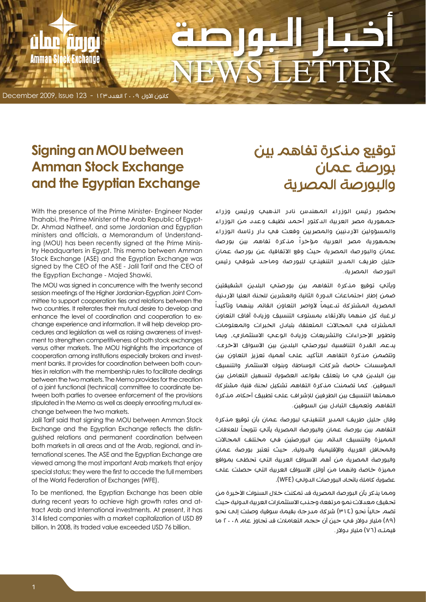# EETF DER

كانون األول 2009 العدد 123 - 123 Issue 2009, December

**nnin** 

**Exchange** 

Inn

**Amman St** 

# **Signing an MOU between Amman Stock Exchange Exchange Eqyptian Exchange**

With the presence of the Prime Minister- Engineer Nader Dr. Ahmad Natheef, and some Jordanian and Egyptian Thahabi, the Prime Minister of the Arab Republic of Egypttry Headquarters in Egypt. This memo between Amman ing (MOU) has been recently signed at the Prime Minisministers and officials, a Memorandum of Understand-Stock Exchange (ASE) and the Egyptian Exchange was signed by the CEO of the ASE - Jalil Tarif and the CEO of the Egyptian Exchange - Majed Shawki.

The MOU was signed in concurrence with the twenty second mittee to support cooperation ties and relations between the session meetings of the Higher Jordanian-Egyptian Joint Comtwo countries. It reiterates their mutual desire to develop and ment to strengthen competitiveness of both stock exchanges cedures and legislation as well as raising awareness of investchange experience and information. It will help develop proenhance the level of coordination and cooperation to exversus other markets. The MOU highlights the importance of tries in relation with the membership rules to facilitate dealings ment banks. It provides for coordination between both councooperation among institutions especially brokers and investbetween the two markets. The Memo provides for the creation tween both parties to oversee enforcement of the provisions of a joint functional (technical) committee to coordinate bestipulated in the Memo as well as deeply enrooting mutual ex-<br>change between the two markets.

Jalil Tarif said that signing the MOU between Amman Stock quished relations and permanent coordination between Exchange and the Egyptian Exchange reflects the distinternational scenes. The ASE and the Egyptian Exchange are both markets in all areas and at the Arab, regional, and inviewed among the most important Arab markets that enjoy special status; they were the first to accede the full members of the World Federation of Exchanges (WFE).

To be mentioned, the Egyptian Exchange has been able tract Arab and International investments. At present, it has during recent years to achieve high growth rates and at-314 listed companies with a market capitalization of USD 89 billion. In 2008, its traded value exceeded USD 76 billion.

# توقيع مذكرة تفاهم بين بورصة عمان والبورصة المصرية

بحضور رئيس الوزراء المهندس نادر الذهبي ورئيس وزراء جمهورية مصر العربية الدكتور أحمد نظيف وعدد من الوزراء والمسؤولين الأردنيين والمصريين وقعت في دار رئاسة الوزراء بجمهورية مصر العربية مؤخراً مذكرة تفاهم بين بورصة عمان والبورصة المصرية حيث وقع االتفاقية عن بورصة عمان جليل طريف المدير التنفيذي للبورصة وماجد شوقي رئيس البورصة المصرية.

ويأتي توقيع مذكرة التفاهم بين بورصتي البلدين الشقيقتين ضمن إطار اجتماعات الدورة الثانية والعشرين للجنة العليا الأردنية المصرية المشتركة تدعيماً لأواصر التعاون القائم بينهما وتأكيداً لرغبة كل منهما باالرتقاء بمستوى التنسيق وزيادة آفاق التعاون المشترك في المجاالت المتعلقة بتبادل الخبرات والمعلومات وتطوير الإجراءات والتشريعات وزيادة الوعي الاستثماري، وبما يدعم القدرة التنافسية لبورصتب البلدين بين الأسواق الأخرى. وتتضمن مذكرة التفاهم التأكيد على أهمية تعزيز التعاون بين المؤسسات خاصة شركات الوساطة وبنوك االستثمار والتنسيق بين البلدين في ما يتعلق بقواعد العضوية لتسهيل التعامل بين السوقين. كما تضمنت مذكرة التفاهم تشكيل لجنة فنية مشتركة مهمتها التنسيق بين الطرفين لإلشراف على تطبيق أحكام مذكرة التفاهم وتعميق التبادل بين السوقين.

وقال جليل طريف المدير التنفيذي لبورصة عمان بأن توقيع مذكرة التفاهم بين بورصة عمان والبورصة المصرية يأتي تتويجاً للعلاقات المميزة والتنسيق الدائم بين البورصتين في مختلف المجالات والمحافل العربية واإلقليمية والدولية، حيث تعتبر بورصة عمان والبورصة المصرية من أهم األسواق العربية التي تحظى بمواقع مميزة خاصة وانهما من أوائل الأسواق العربية التي حصلت علم عضوية كاملة باتحاد البورصات الدولي )WFE).

ومما يذكر بأن البورصة المصرية قد تمكنت خلال السنوات الأخيرة من تحقيق معدالت نمو مرتفعة وجذب االستثمارات العربية الدولية حيث نضم حالياً نحو (٣١٤) شركة مىرجة بقيمة سوقية وصلت إلى نحو )89( مليار دوالر في حين أن حجم التعامالت قد تجاوز عام 2008 ما قيمتـه (٧٦) مليار دولار .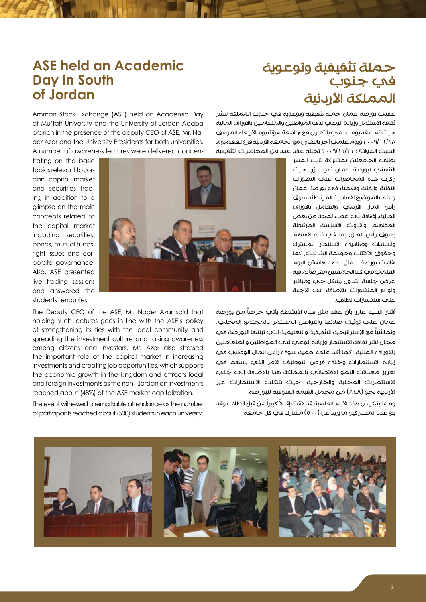### **ASE held an Academic Day in South Jordan of**

## حملة تثقيفية وتوعوية في جنوب المملكة الأردنية

Amman Stock Exchange (ASE) held an Academic Day at Mu'tah University and the University of Jordan Agaba der Azar and the University Presidents for both universities. branch in the presence of the deputy CEO of ASE, Mr. Na-

dan capital market to pics relevant to Joring in addition to a and securities tradglimpse on the main concepts related to the capital market including securities. bonds, mutual funds, porate aovernance. right issues and cor-Also, ASE presented live trading sessions and answered the students' enquiries.



The Deputy CEO of the ASE, Mr. Nader Azar said that holding such lectures goes in line with the ASE's policy of strengthening its ties with the local community and spreading the investment culture and raising awareness among citizens and investors. Mr. Azar also stressed the important role of the capital market in increasing investments and creating job opportunities, which supports the economic growth in the kingdom and attracts local and foreign investments as the non - Jordanian investments reached about (48%) of the ASE market capitalization.

The event witnessed a remarkable attendance as the number of participants reached about (500) students in each university. عقدت بورصة عمان حملة تثقيفية وتوعوية في جنوب المملكة لنشر ثقافة الاستثمار وزيادة الوعي لدى المواطنين والمتعاملين بالأوراق المالية حيث تم عقد يوم علمي بالتعاون مع جامعة مؤتة يوم الأربعاء الموافق 2009/11/18 ويوم علمي آخر بالتعاون مع الجامعة األردنية فرع العقبة يوم السبت الموافق 2009/11/21 تخلله عقد عدد من المحاضرات التثقيفية

> لطالب الجامعتين بمشاركة نائب المدير التنفيذي لبورصة عمان نادر عازر، حيث ركزت هذه المحاضرات على التطورات التقنية والفنية والكمية في بورصة عمان وعلم المواضيع الأساسية المرتبطة بسوق رأس المال الأرىني والتعامل بالأوراق المالية، إضافة إلى إعطاء لمحة عن بعض المفاهيم واألدوات األساسية المرتبطة بسوق رأس المال، بما في ذلك الأسهم والسندات وصناديق االستثمار المشترك وحقوق االكتتاب وحوكمة الشركات، كما أقامت بورصة عمان على هامش اليوم العلمدي فدي كلتا الجامعتين معر ضاً تم فيه عرض جلسة التداول بشكل حي ومباشر وتوزيع المنشورات باإلضافة إلى اإلجابة على استفسارات الطالب.

اشار السيد عازر بأن عقد مثل هذه الأنشطة يأتب حرصاً من بورصة عمان علم توثيق صلاتها والتواصل المستمر بالمجتمع المحلب، وتماشياً مع الإستر اتيجية التثقيفية والتعليمية التب تبنتها البور صة فب مجال نشر ثقافة االستثمار وزيادة الوعي لدى المواطنين والمتعاملين باألوراق المالية. كما أكد على أهمية سوق رأس المال الوطني في زيادة الاستثمارات وخلق فرص التوظيف الأمر الذي يسهم في تعزيز معدلات النمو الاقتصادي بالمملكة هذا بالإضافة إلى جذب االستثمارات المحلية والخارجية، حيث شكلت االستثمارات غير الأردنية نحو (٤٤٨) من مجمل القيمة السوقية للبورصة.

ومما يذكر بأن هذه الأيام العلمية قد لاقت إقبالاً كبيراً من قبل الطلاب وقد بلغ عدد المشار كين ما يزيد عن (٥٠٠) مشارك في كل جامعة.

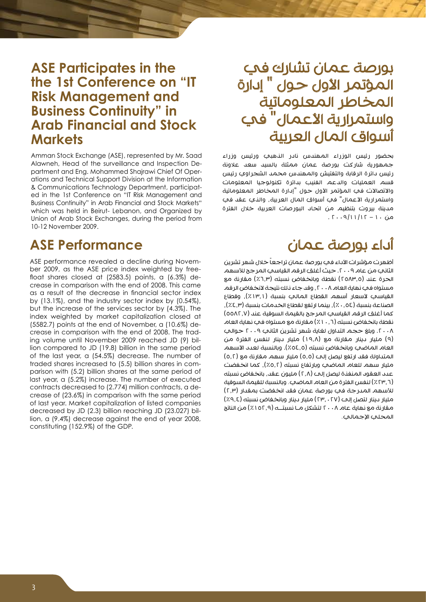## **ASE Participates in the the 1st Conference on "IT Risk Management and Business Continuity" in Arab Financial and Stock Markets**

Amman Stock Exchange (ASE), represented by Mr. Saad ations and Technical Support Division at the Information partment and Eng. Mohammed Shajrawi Chief Of Oper-Alawneh, Head of the surveillance and Inspection Deed in the 1st Conference on "IT Risk Management and & Communications Technology Department, participat-Business Continuity" in Arab Financial and Stock Markets" which was held in Beirut- Lebanon, and Organized by Union of Arab Stock Exchanges, during the period from 10-12 November 2009.

## **ASE Performance**

crease in comparison with the end of 2008. This came float shares closed at  $(2583.5)$  points, a  $(6.3\%)$  deber 2009, as the ASE price index weighted by free-ASE performance revealed a decline during Novemas a result of the decrease in financial sector index by  $(13.1\%)$ , and the industry sector index by  $(0.54\%)$ , but the increase of the services sector by (4.3%). The index weighted by market capitalization closed at lion compared to JD (19.8) billion in the same period ing volume until November 2009 reached JD (9) bilcrease in comparison with the end of 2008. The trad- $(5582.7)$  points at the end of November, a  $(10.6\%)$  deof the last year, a  $(54.5%)$  decrease. The number of parison with (5.2) billion shares at the same period of traded shares increased to (5.5) billion shares in comlast year, a (5.2%) increase. The number of executed crease of (23.6%) in comparison with the same period contracts decreased to (2.774) million contracts, a deof last year. Market capitalization of listed companies  $\gamma$  ion, a (9.4%) decrease against the end of year 2008, decreased by JD (2.3) billion reaching JD (23.027) bilconstituting (152.9%) of the GDP.

# بورصة عمان تشارك في المؤتمر الأول حول " إدارة المخاطر المعلوماتية واستمرارية الأعمال" في أسواق المال العربية

بحضور رئيس الوزراء المهندس نادر الذهبي ورئيس وزراء جمهورية شاركت بورصة عمان ممثلة بالسيد سعد عالونة رئيس دائرة الرقابة والتفتيش والمهندس محمد الشجراوي رئيس قسم العمليات والدعم الفنيب بدائرة تكنولوجيا المعلومات والاتصالات في المؤتمر الأول حول "إدارة المخاطر المعلوماتية واستمرارية الأعمال" في أسواق المال العربية، والذي عقد في مدينة بيروت بتنظيم من اتحاد البورصات العربية خالل الفترة  $5.69/11/15 - 1.60$ 

# أداء بورصة عمان

أظهرت مؤشرات الأداء في بورصة عمان تراجعاً خلال شهر تشرين الثاني من عام ٢٠٠٩. حيث أغلق الرقم القياسي المرجح للأسهم الحرة عند (٢٥٨٣,٥) نقطة وبانخفاض نسبته (٦,٣٪) مقارنة مع مستواه في نهاية العام ٢٠٠٨ ، وقد جاء ذلك نتيجة لانخفاض الرقم القياسي لأسعار أسهم القطاع المالي بنسبة (١٣٫١٪), وقطاع الصناعة بنسبة (٥٤.5٪), بينما ارتفع لقطاع الخدمات بنسبة (٤.٣٪), كما أغلق الرقم القياسي المرجح بالقيمة السوقية عند (٥٥٨٢,٧) نقطة بانخفاض نسبته )%10.6( مقارنة مع مستواه في نهاية العام .2008 وبلغ حجم التداول لغاية شهر تشرين الثاني 2009 حوالي )9( مليار دينار مقارنة مع )19.8( مليار دينار لنفس الفترة من العام الماضي وبانخفاض نسبته (٥٤٫٥٪). وبالنسبة لعدد الأسهم المتداولة فقد ارتفع ليصل إلى (٥,٥) مليار سهم مقارنة مع (٥,٢) مليار سهم للعام الماضي وبارتفاع نسبته (٥,٢٪)، كما انخفضت عدد العقود المنفذة ليصل إلى (٢,٨) مليون عقد، بانخفاض نسبته )%23.6( لنفس الفترة من العام الماضي. وبالنسبة للقيمة السوقية للأسهم المدرجة في بورصة عمان فقد انخفضت بمقدار (٢,٣) مليار دينار لتصل إلى )23.027( مليار دينار وبانخفاض نسبته )%9.4( مقارنة مع نهاية عام 2008 لتشكل مـا نسبتــه )%152.9( من الناتج المحلب الإجمالي.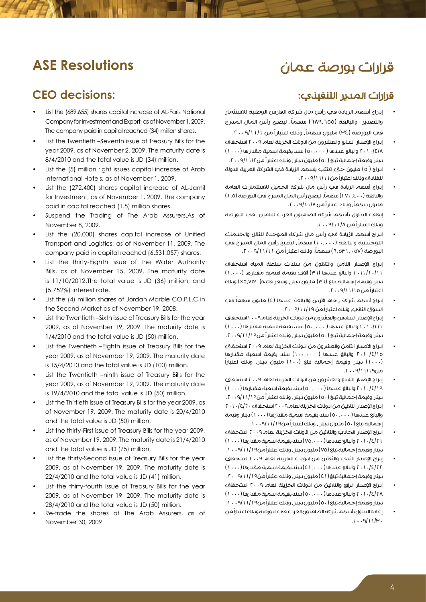## قرارات بورصة عمان

## **ASE Resolutions**

#### **CEO** decisions:

- List the (689.655) shares capital increase of AL-Faris National Company for Investment and Export, as of November 1, 2009. The company paid in capital reached (34) million shares.
- List the Twentieth –Seventh issue of Treasury Bills for the year 2009, as of November 2, 2009. The maturity date is 8/4/2010 and the total value is JD (34) million.
- List the (5) million right issues capital increase of Arab International Hotels, as of November 1, 2009.
- List the (272.400) shares capital increase of AL-Jamil for Investment, as of November 1, 2009. The company paid in capital reached (1.5) million shares.
- Suspend the Trading of The Arab Assurers.As of November 8, 2009.
- List the (20.000) shares capital increase of Unified Transport and Logistics, as of November 11, 2009. The company paid in capital reached (6.531.057) shares.
- List the thirty-Eighth issue of the Water Authority Bills, as of November 15, 2009. The maturity date is  $11/10/2012$ . The total value is JD  $(36)$  million, and  $(5.752%)$  interest rate.
- List the (4) million shares of Jordan Marble CO.P.L.C in the Second Market as of November 19, 2008.
- List the Twentieth –Sixth issue of Treasury Bills for the year 2009, as of November 19, 2009. The maturity date is  $1/4/2010$  and the total value is JD (50) million.
- List the Twentieth –Eighth issue of Treasury Bills for the year 2009, as of November 19, 2009. The maturity date is 15/4/2010 and the total value is JD (100) million.
- List the Twentieth –ninth issue of Treasury Bills for the year 2009, as of November 19, 2009. The maturity date is  $19/4/2010$  and the total value is JD  $(50)$  million.
- List the Thirtieth issue of Treasury Bills for the year 2009, as of November 19, 2009. The maturity date is 20/4/2010 and the total value is JD (50) million.
- List the thirty-First issue of Treasury Bills for the year 2009, as of November 19, 2009. The maturity date is  $21/4/2010$ and the total value is JD (75) million.
- List the thirty-Second issue of Treasury Bills for the year 2009, as of November 19, 2009. The maturity date is  $22/4/2010$  and the total value is JD  $(41)$  million.
- List the thirty-fourth issue of Treasury Bills for the year 2009, as of November 19, 2009. The maturity date is  $28/4/2010$  and the total value is JD (50) million.
- Re-trade the shares of The Arab Assurers, as of November 30, 2009

#### قرارات المدير التنفيذي:

- إدراج أسهم الزيادة في رأس مال شركة الفارس الوطنية لالستثمار والتصدير والبالغة (٦٨٩,٦٥٥) سهماً, ليصبح رأس المال المدرج في البورصة (٣٤) مليون سهماً, ونلك اعتباراً من ١١/١/١٠٠٩.
- إدراج اإلصدار السابع والعشرون من اذونات الخزينة لعام 2009 استحقاق 2010/4/8 والبالغ عددها ) 50.000( سند بقيمة اسمية مقدارها )1000( دينار وقيمة إجمالية تبلغ (٥٠) مليون دينار ، وذلك اعتباراً من١١/٢-٢٠٠٩.
- إدراج ( ٥) مليون حق اكتتاب باسهم الزيادة في الشركة العربية الدولة للفنادق وذلك اعتباراً من.2009/11/11
- إدراج أسهم الزيادة في رأس مال شركة الجميل لالستثمارات العامة والبالغة (٢٧٢,٤٠٠) سهماً، ليصبح رأس المال المدرج في البور صة (١,٥) مليون سهماً، ونلك اعتبار اً من ١١/٨ /٢٠٠٩.
- إيقاف التداول بأسهم شركة الضامنون العرب للتامين في البورصة وذلك اعتباراً من .2009/11/8
- إدراج أسهم الزيادة في رأس مال شركة الموحدة للنقل والخدمات اللوجستية والبالغة (٢٠,٠٠٠) سهماً، ليصبح رأس المال المدرج في البورصة (٦,٥٣١,٠٥٧) سهماً, ونلك اعتباراً من ٠٠٩/١١/١٠.
- إدراج اإلصدار الثامن والثالثون من سندات سلطة المياه استحقاق  $(1,\cdots)$  والبالغ عددها  $(1)$  آلاف بقيمة اسمية مقدارها  $(1,0.01)$ دينار وقيمة إجمالية تبلغ (٣٦) مليون دينار, وسعر فائدة( ٥,٧٥٢٪) ونلك اعتباراً من .2009/11/15
- إدراج أسهم شركة رخام الأردن والبالغة عددها (٤) مليون سهماً في السوق الثاني، ونلك اعتبار اً من ١١/١٩/١٩ . ٢٠٠٩.
- إدراج الإصدار السادس والعشرون من اذونات الخزينة لعام ٢٠٠٩ استحقاق  $(1 \cdots)$ والبالغ عددها  $(0 \cdots 0)$  سند بقيمة اسمية مقدارها  $(1 \cdots 1)$ دينار وقيمة إجمالية تبلغ (٥٠) مليون دينار , وذلك اعتباراً من١/١١/١٩٠٦.
- إدراج الإصدار الثامن والعشرون من انونات الخزينة لعام ٢٠٠٩ استحقاق )1000( دينار وقيمة إجمالية تبلغ )100( مليون دينار، وذلك اعتباراً <sup>2010</sup>/4/15 والبالغ عددها ) 100.000( سند بقيمة اسمية مقدارها من.2009/11/19
- إدراج اإلصدار التاسع والعشرون من اذونات الخزينة لعام 2009 استحقاق  $(1 \cdots)$  والبالغ عددها  $(0 \cdots 0)$  سند بقيمة اسمية مقدارها  $1 \cdots$ دينار وقيمة إجمالية تبلغ )50( مليون دينار، وذلك اعتباراً من.2009/11/19
- إدراج الإصدار الثلاثين من انونات الخزينة لعام ٢٠٠٩ استحقاق ٢٠١٠/٤/٢٠ والبالغ عددها ( ٥٠,٠٠٠) سند بقيمة اسمية مقدارها (١٠٠٠) دينار وقيمة إجمالية تبلغ (٥٠) مليون دينار ، ونلك اعتباراً من١١/١٩/١٩ . ٢٠٠٩.
- إدراج الإصدار الحادي والثلاثين من اذونات الخزينة لعام ٢٠٠٩ استحقاق  $(1 \cdots)$ والبالغ عددها  $(20, \cdots)$ سند بقيمة اسمية مقدارها  $7 \cdot 1 \cdot / 5$ دينار وقيمة إجمالية تبلغ (٧٥) مليون دينار ، ونلك اعتباراً من١١/١٩(٢٠٠٩.
- إدراج اإلصدار الثاني والثالثين من اذونات الخزينة لعام 2009 استحقاق  $(1 \cdots)$ والبالغ عددها  $(21, \cdots)$ سند بقيمة اسمية مقدارها  $1 \cdots / 5$ دينار وقيمة إجمالية تبلغ (٤١) مليون دينار ، ونلك اعتباراً من١/١١/ ٢٠٠٩.
- إدراج الإصدار الرابع والثلاثين من اذونات الخزينة لعام ٢٠٠٩ استحقاق  $(1 \cdots)$ والبالغ عددها  $(0 \cdots 0)$ سند بقيمة اسمية مقدارها  $1 \cdots$ ا دينار وقيمة إجمالية تبلغ (٥٠) مليون دينار , ونلك اعتباراً من١/١١/١٩٠٩.
- إعادة التداول بأسهم شركة الضامنون العرب في البورصة وذلك اعتباراً من  $.7.9/11/4.$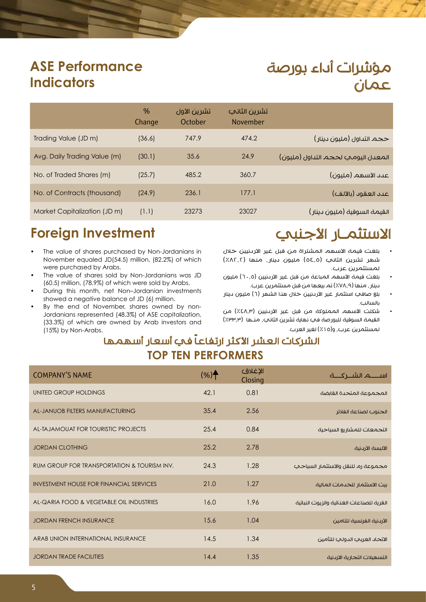# مؤشرات أداء بورصة عمان

# **ASE Performance Indicators**

|                              | $\%$<br>Change | تشرين الأول<br>October | تشرين الثانب<br><b>November</b> |                                    |
|------------------------------|----------------|------------------------|---------------------------------|------------------------------------|
| Trading Value (JD m)         | (36.6)         | 747.9                  | 474.2                           | حجم التداول (مليون دينار)          |
| Avg. Daily Trading Value (m) | (30.1)         | 35.6                   | 24.9                            | المعدل اليومي لحجم التداول (مليون) |
| No. of Traded Shares (m)     | (25.7)         | 485.2                  | 360.7                           | عدد الأسهم (مليون)                 |
| No. of Contracts (thousand)  | (24.9)         | 236.1                  | 177.1                           | عىد العقود (بالألف)                |
| Market Capitalization (JD m) | (1.1)          | 23273                  | 23027                           | القيمة السوقية (مليون دينار)       |

## **Foreign Investment**

- The value of shares purchased by Non-Jordanians in November equaled JD(54.5) million, (82.2%) of which were purchased by Arabs.
- The value of shares sold by Non-Jordanians was JD  $(60.5)$  million,  $(78.9\%)$  of which were sold by Arabs.
- During this month, net Non-Jordanian investments showed a negative balance of JD (6) million.
- Jordanians represented (48.3%) of ASE capitalization, By the end of November, shares owned by non-(33.3%) of which are owned by Arab investors and (15%) by Non-Arabs.

# الاستثمـار الأجنبي

- بلغت قيمة الأسهم المشتراة من قبل غير الأردنيين خلال شهر تشرين الثاني (٥٤.٥) مليون دينار، منها (٨٢.٢/ لمستثمرين عرب.
- بلغت قيمة الأسهم المباعة من قبل غير الأردنيين (٦٠,٥) مليون دينار، منها )%78.9( تم بيعها من قبل مستثمرين عرب.
- بلغ صافي استثمار غير الأردنيين خلال هذا الشهر (٦) مليون دينار بالسالب.
- شكلت الأسهم المملوكة من قبل غير الأرينيين (٤٨.٣٪) من القيمة السوقية للبورصة في نهاية تشرين الثاني، منـها (٣٣٣,٣) لمستثمرين عرب، و(١٥٪) لغير العرب.

## الشركات العشر الأكثر ارتفاعاً في أسعار أسهمها **TOP TEN PERFORMERS**

| <b>COMPANY'S NAME</b>                          | $(%)^{\ast}$ | الإغلاق<br>Closing | اســـــــــم الشـــــركـــــــة           |
|------------------------------------------------|--------------|--------------------|-------------------------------------------|
| UNITED GROUP HOLDINGS                          | 42.1         | 0.81               | المجموعة المتحدة القابضة                  |
| AL-JANUOB FILTERS MANUFACTURING                | 35.4         | 2.56               | الجنوب لصناعة الفلاتر                     |
| AL-TAJAMOUAT FOR TOURISTIC PROJECTS            | 25.4         | 0.84               | التجمعات للمشاريع السياحية                |
| <b>JORDAN CLOTHING</b>                         | 25.2         | 2.78               | الألبسة الأردنية                          |
| RUM GROUP FOR TRANSPORTATION & TOURISM INV.    | 24.3         | 1.28               | مجموعة رم للنقل والاستثمار السياحي        |
| <b>INVESTMENT HOUSE FOR FINANCIAL SERVICES</b> | 21.0         | 1.27               | ست الاستثمار للخدمات المالية              |
| AL-QARIA FOOD & VEGETABLE OIL INDUSTRIES       | 16.0         | 1.96               | القرية للصناعات الغذائية والزيوت النباتية |
| <b>JORDAN FRENCH INSURANCE</b>                 | 15.6         | 1.04               | الأرىنىة الفرنسية للتامين                 |
| ARAB UNION INTERNATIONAL INSURANCE             | 14.5         | 1.34               | الاتحاد العربب الدولب للتأمين             |
| <b>JORDAN TRADE FACILITIES</b>                 | 14.4         | 1.35               | التسهيلات التجارية الاردنية               |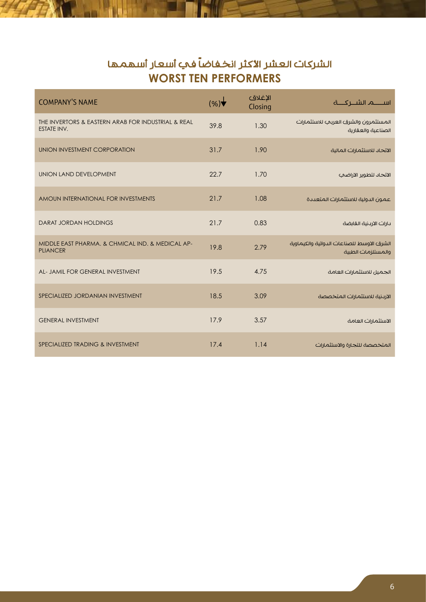## الشركات العشر الأكثر انخفاضاً في أسعار أسهمها **WORST TEN PERFORMERS**

| <b>COMPANY'S NAME</b>                                                    | (%)  | الإغلاق<br>Closing |                                                                 |
|--------------------------------------------------------------------------|------|--------------------|-----------------------------------------------------------------|
| THE INVERTORS & EASTERN ARAB FOR INDUSTRIAL & REAL<br><b>ESTATE INV.</b> | 39.8 | 1.30               | المستثمرون والشرق العربب للاستثمارات<br>الصناعية والعقارية      |
| UNION INVESTMENT CORPORATION                                             | 31.7 | 1.90               | الاتحاد للاستثمارات المالية                                     |
| UNION LAND DEVELOPMENT                                                   | 22.7 | 1.70               | الاتحاد لتطوير الاراضحي                                         |
| AMOUN INTERNATIONAL FOR INVESTMENTS                                      | 21.7 | 1.08               | عمون الدولية للاستثمارات المتعددة                               |
| <b>DARAT JORDAN HOLDINGS</b>                                             | 21.7 | 0.83               | بارات الاربنية القابضة                                          |
| MIDDLE EAST PHARMA. & CHMICAL IND. & MEDICAL AP-<br><b>PLIANCER</b>      | 19.8 | 2.79               | الشرق الاوسط للصناعات الدوائية والكيماوية<br>والمستلزمات الطبية |
| AL- JAMIL FOR GENERAL INVESTMENT                                         | 19.5 | 4.75               | الجميل للاستثمارات العامة                                       |
| SPECIALIZED JORDANIAN INVESTMENT                                         | 18.5 | 3.09               | الاردنية للاستثمارات المتخصصة                                   |
| <b>GENERAL INVESTMENT</b>                                                | 17.9 | 3.57               | الاستثمارات العامة                                              |
| SPECIALIZED TRADING & INVESTMENT                                         | 17.4 | 1.14               | المتخصصة للتجارة والاستثمارات                                   |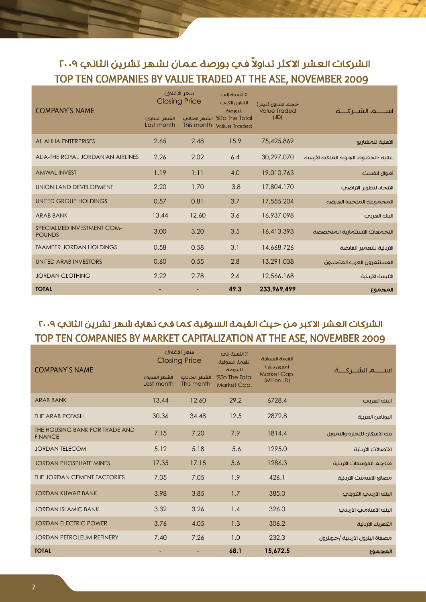## الشركات العشر الاكثر تداولاً في بورصة عمان لشهر تشرين الثاني ٢٠٠٩ TOP TEN COMPANIES BY VALUE TRADED AT THE ASE, NOVEMBER 2009

| <b>COMPANY'S NAME</b>                        | سعر الإغلاق<br><b>Closing Price</b><br>الشهر السابق<br>Last month | الشهر الحالب | ٪ النسبة إلى<br>التداول الكلمي<br>للبورصة<br>%To The Total<br>This month Value Traded | حجم التداول (بينار)<br><b>Value Traded</b><br>(JD) |                                       |
|----------------------------------------------|-------------------------------------------------------------------|--------------|---------------------------------------------------------------------------------------|----------------------------------------------------|---------------------------------------|
| AL AHLIA ENTERPRISES                         | 2.65                                                              | 2.48         | 15.9                                                                                  | 75,425,869                                         | الاهلية للمشاريع                      |
| ALIA-THE ROYAL JORDANIAN AIRLINES            | 2.26                                                              | 2.02         | 6.4                                                                                   | 30,297,070                                         | عالية -الخطوط الجوية الملكية الأردنية |
| <b>AMWAL INVEST</b>                          | 1.19                                                              | 1.11         | 4.0                                                                                   | 19,010,763                                         | أموال انفست                           |
| UNION LAND DEVELOPMENT                       | 2.20                                                              | 1.70         | 3.8                                                                                   | 17,804,170                                         | الاتحاد لتطوير الاراضح                |
| UNITED GROUP HOLDINGS                        | 0.57                                                              | 0.81         | 3.7                                                                                   | 17,555,204                                         | المجموعة المتحدة القانضة              |
| <b>ARAB BANK</b>                             | 13.44                                                             | 12.60        | 3.6                                                                                   | 16,937,098                                         | البنك العربب                          |
| SPECIALIZED INVESTMENT COM-<br><b>POUNDS</b> | 3.00                                                              | 3.20         | 3.5                                                                                   | 16,413,393                                         | التجمعات الاستثمارية المتخصصة         |
| <b>TAAMEER JORDAN HOLDINGS</b>               | 0.58                                                              | 0.58         | 3.1                                                                                   | 14,668,726                                         | الاردنية للتعمير القابضة              |
| UNITED ARAB INVESTORS                        | 0.60                                                              | 0.55         | 2.8                                                                                   | 13,291,038                                         | المستثمرون العرب المتحدون             |
| <b>JORDAN CLOTHING</b>                       | 2.22                                                              | 2.78         | 2.6                                                                                   | 12,566,168                                         | الالبسة الاردنية                      |
| <b>TOTAL</b>                                 |                                                                   |              | 49.3                                                                                  | 233,969,499                                        | المجموع                               |

#### الشركات العشر الاكبر من حيث القيمة السوقية كما في نهاية شهر تشرين الثاني ٢٠٠٩ TOP TEN COMPANIES BY MARKET CAPITALIZATION AT THE ASE, NOVEMBER 2009

| <b>COMPANY'S NAME</b>                            | سعر الاغلاق<br><b>Closing Price</b> |                            | ٪ النسبة إلى<br>القيمة السوقية<br>للبورصة | القيمة السوقية<br>(مليون دينار) |                                 |
|--------------------------------------------------|-------------------------------------|----------------------------|-------------------------------------------|---------------------------------|---------------------------------|
|                                                  | الشهر السابق<br>Last month          | الشهر الحالب<br>This month | %To The Total<br>Market Cap.              | Market Cap.<br>(Million JD)     |                                 |
| <b>ARAB BANK</b>                                 | 13.44                               | 12.60                      | 29.2                                      | 6728.4                          | الننك العربب                    |
| THE ARAB POTASH                                  | 30.36                               | 34.48                      | 12.5                                      | 2872.8                          | البوتاس العربية                 |
| THE HOUSING BANK FOR TRADE AND<br><b>FINANCE</b> | 7.15                                | 7.20                       | 7.9                                       | 1814.4                          | بنك الاسكان للتجارة والتمويل    |
| <b>JORDAN TELECOM</b>                            | 5.12                                | 5.18                       | 5.6                                       | 1295.0                          | الاتصالات الارىنية              |
| <b>JORDAN PHOSPHATE MINES</b>                    | 17.35                               | 17.15                      | 5.6                                       | 1286.3                          | مناجم الفوسفات الاردنية         |
| THE JORDAN CEMENT FACTORIES                      | 7.05                                | 7.05                       | 1.9                                       | 426.1                           | مصانع الاسمنت الأردنية          |
| <b>JORDAN KUWAIT BANK</b>                        | 3.98                                | 3.85                       | 1.7                                       | 385.0                           | البنك الارىنىء الكويتى          |
| <b>JORDAN ISLAMIC BANK</b>                       | 3.32                                | 3.26                       | 1.4                                       | 326.0                           | البنك الاسلامحي الارىنحي        |
| <b>JORDAN ELECTRIC POWER</b>                     | 3.76                                | 4.05                       | 1.3                                       | 306.2                           | الكهرباء الارىنية               |
| <b>JORDAN PETROLEUM REFINERY</b>                 | 7.40                                | 7.26                       | 1.0                                       | 232.3                           | مصفاة البترول الأردنية  جوبترول |
| <b>TOTAL</b>                                     |                                     |                            | 68.1                                      | 15,672.5                        | المجموع                         |